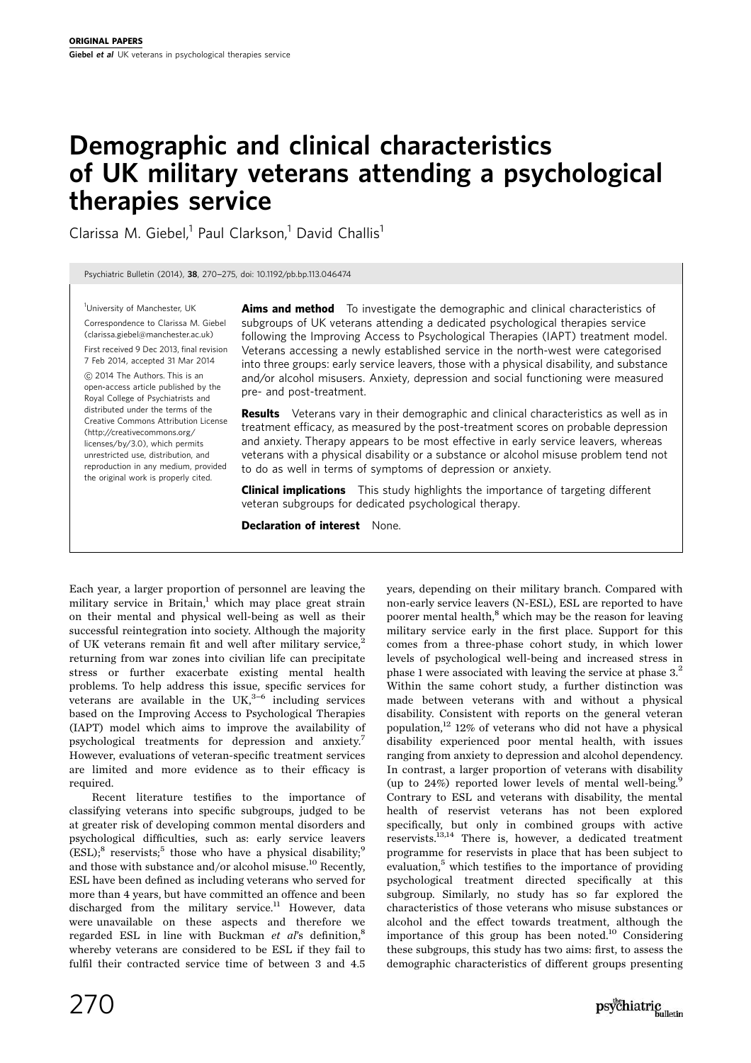# Demographic and clinical characteristics of UK military veterans attending a psychological therapies service

Clarissa M. Giebel,<sup>1</sup> Paul Clarkson,<sup>1</sup> David Challis<sup>1</sup>

Psychiatric Bulletin (2014), <sup>38</sup>, 270-275, doi: 10.1192/pb.bp.113.046474

<sup>1</sup>University of Manchester, UK Correspondence to Clarissa M. Giebel (clarissa.giebel@manchester.ac.uk) First received 9 Dec 2013, final revision 7 Feb 2014, accepted 31 Mar 2014

*B* 2014 The Authors. This is an open-access article published by the Royal College of Psychiatrists and distributed under the terms of the Creative Commons Attribution License (http://creativecommons.org/ licenses/by/3.0), which permits unrestricted use, distribution, and reproduction in any medium, provided the original work is properly cited.

Aims and method To investigate the demographic and clinical characteristics of subgroups of UK veterans attending a dedicated psychological therapies service following the Improving Access to Psychological Therapies (IAPT) treatment model. Veterans accessing a newly established service in the north-west were categorised into three groups: early service leavers, those with a physical disability, and substance and/or alcohol misusers. Anxiety, depression and social functioning were measured pre- and post-treatment.

**Results** Veterans vary in their demographic and clinical characteristics as well as in treatment efficacy, as measured by the post-treatment scores on probable depression and anxiety. Therapy appears to be most effective in early service leavers, whereas veterans with a physical disability or a substance or alcohol misuse problem tend not to do as well in terms of symptoms of depression or anxiety.

**Clinical implications** This study highlights the importance of targeting different veteran subgroups for dedicated psychological therapy.

Declaration of interest None.

Each year, a larger proportion of personnel are leaving the military service in Britain, $1$  which may place great strain on their mental and physical well-being as well as their successful reintegration into society. Although the majority of UK veterans remain fit and well after military service,<sup>2</sup> returning from war zones into civilian life can precipitate stress or further exacerbate existing mental health problems. To help address this issue, specific services for veterans are available in the UK, $3-6$  including services based on the Improving Access to Psychological Therapies (IAPT) model which aims to improve the availability of psychological treatments for depression and anxiety.7 However, evaluations of veteran-specific treatment services are limited and more evidence as to their efficacy is required.

Recent literature testifies to the importance of classifying veterans into specific subgroups, judged to be at greater risk of developing common mental disorders and psychological difficulties, such as: early service leavers  $(ESL);$ <sup>8</sup> reservists;<sup>5</sup> those who have a physical disability;<sup>9</sup> and those with substance and/or alcohol misuse.<sup>10</sup> Recently, ESL have been defined as including veterans who served for more than 4 years, but have committed an offence and been discharged from the military service.<sup>11</sup> However, data were unavailable on these aspects and therefore we regarded ESL in line with Buckman et  $a\ell s$  definition.<sup>8</sup> whereby veterans are considered to be ESL if they fail to fulfil their contracted service time of between 3 and 4.5

years, depending on their military branch. Compared with non-early service leavers (N-ESL), ESL are reported to have poorer mental health,<sup>8</sup> which may be the reason for leaving military service early in the first place. Support for this comes from a three-phase cohort study, in which lower levels of psychological well-being and increased stress in phase 1 were associated with leaving the service at phase 3.2 Within the same cohort study, a further distinction was made between veterans with and without a physical disability. Consistent with reports on the general veteran population, $^{12}$  12% of veterans who did not have a physical disability experienced poor mental health, with issues ranging from anxiety to depression and alcohol dependency. In contrast, a larger proportion of veterans with disability (up to  $24\%$ ) reported lower levels of mental well-being.<sup>9</sup> Contrary to ESL and veterans with disability, the mental health of reservist veterans has not been explored specifically, but only in combined groups with active reservists.13,14 There is, however, a dedicated treatment programme for reservists in place that has been subject to evaluation,<sup>5</sup> which testifies to the importance of providing psychological treatment directed specifically at this subgroup. Similarly, no study has so far explored the characteristics of those veterans who misuse substances or alcohol and the effect towards treatment, although the importance of this group has been noted.<sup>10</sup> Considering these subgroups, this study has two aims: first, to assess the demographic characteristics of different groups presenting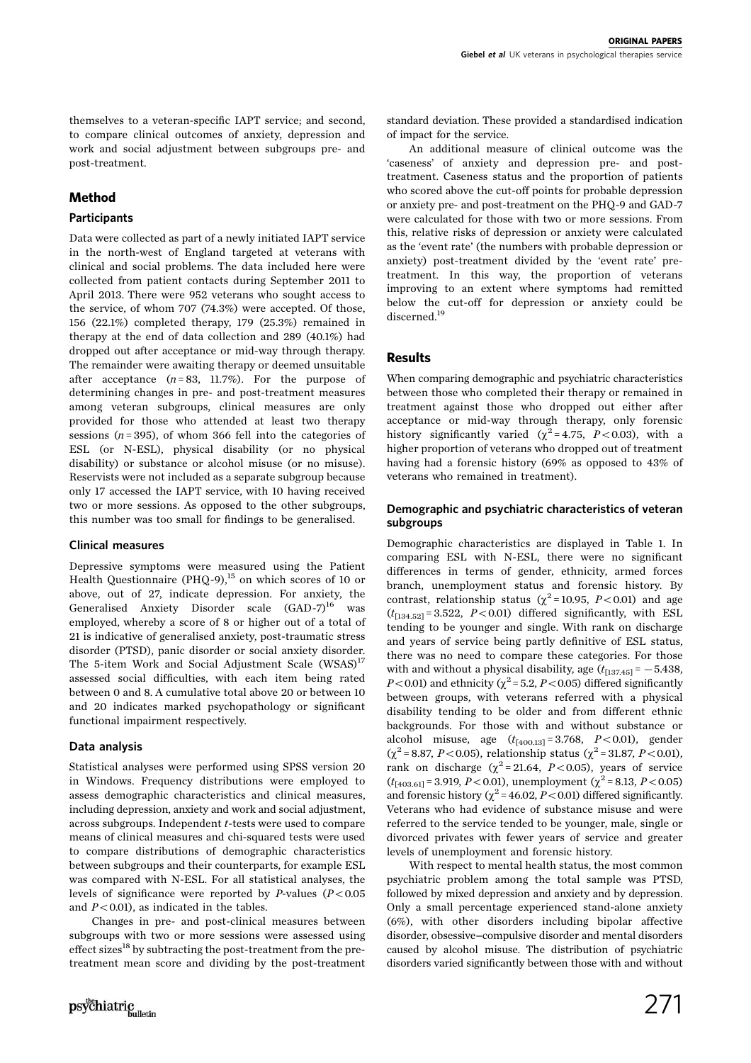themselves to a veteran-specific IAPT service; and second, to compare clinical outcomes of anxiety, depression and work and social adjustment between subgroups pre- and post-treatment.

# Method

## **Participants**

Data were collected as part of a newly initiated IAPT service in the north-west of England targeted at veterans with clinical and social problems. The data included here were collected from patient contacts during September 2011 to April 2013. There were 952 veterans who sought access to the service, of whom 707 (74.3%) were accepted. Of those, 156 (22.1%) completed therapy, 179 (25.3%) remained in therapy at the end of data collection and 289 (40.1%) had dropped out after acceptance or mid-way through therapy. The remainder were awaiting therapy or deemed unsuitable after acceptance  $(n=83, 11.7\%)$ . For the purpose of determining changes in pre- and post-treatment measures among veteran subgroups, clinical measures are only provided for those who attended at least two therapy sessions ( $n = 395$ ), of whom 366 fell into the categories of ESL (or N-ESL), physical disability (or no physical disability) or substance or alcohol misuse (or no misuse). Reservists were not included as a separate subgroup because only 17 accessed the IAPT service, with 10 having received two or more sessions. As opposed to the other subgroups, this number was too small for findings to be generalised.

## Clinical measures

Depressive symptoms were measured using the Patient Health Questionnaire (PHQ-9),<sup>15</sup> on which scores of 10 or above, out of 27, indicate depression. For anxiety, the Generalised Anxiety Disorder scale  $(GAD-7)^{16}$  was employed, whereby a score of 8 or higher out of a total of 21 is indicative of generalised anxiety, post-traumatic stress disorder (PTSD), panic disorder or social anxiety disorder. The 5-item Work and Social Adjustment Scale (WSAS)<sup>17</sup> assessed social difficulties, with each item being rated between 0 and 8. A cumulative total above 20 or between 10 and 20 indicates marked psychopathology or significant functional impairment respectively.

## Data analysis

Statistical analyses were performed using SPSS version 20 in Windows. Frequency distributions were employed to assess demographic characteristics and clinical measures, including depression, anxiety and work and social adjustment, across subgroups. Independent t-tests were used to compare means of clinical measures and chi-squared tests were used to compare distributions of demographic characteristics between subgroups and their counterparts, for example ESL was compared with N-ESL. For all statistical analyses, the levels of significance were reported by P-values  $(P<0.05$ and  $P < 0.01$ ), as indicated in the tables.

Changes in pre- and post-clinical measures between subgroups with two or more sessions were assessed using effect sizes<sup>18</sup> by subtracting the post-treatment from the pretreatment mean score and dividing by the post-treatment standard deviation. These provided a standardised indication of impact for the service.

An additional measure of clinical outcome was the 'caseness' of anxiety and depression pre- and posttreatment. Caseness status and the proportion of patients who scored above the cut-off points for probable depression or anxiety pre- and post-treatment on the PHQ-9 and GAD-7 were calculated for those with two or more sessions. From this, relative risks of depression or anxiety were calculated as the 'event rate' (the numbers with probable depression or anxiety) post-treatment divided by the 'event rate' pretreatment. In this way, the proportion of veterans improving to an extent where symptoms had remitted below the cut-off for depression or anxiety could be discerned.19

## Results

When comparing demographic and psychiatric characteristics between those who completed their therapy or remained in treatment against those who dropped out either after acceptance or mid-way through therapy, only forensic history significantly varied ( $\chi^2$ =4.75, P<0.03), with a higher proportion of veterans who dropped out of treatment having had a forensic history (69% as opposed to 43% of veterans who remained in treatment).

#### Demographic and psychiatric characteristics of veteran subgroups

Demographic characteristics are displayed in Table 1. In comparing ESL with N-ESL, there were no significant differences in terms of gender, ethnicity, armed forces branch, unemployment status and forensic history. By contrast, relationship status ( $\chi^2$ =10.95, P<0.01) and age  $(t_{[134.52]} = 3.522, P < 0.01)$  differed significantly, with ESL tending to be younger and single. With rank on discharge and years of service being partly definitive of ESL status, there was no need to compare these categories. For those with and without a physical disability, age  $(t_{[137,45]} = -5.438$ ,  $P<0.01$ ) and ethnicity ( $\chi^2$  = 5.2, P < 0.05) differed significantly between groups, with veterans referred with a physical disability tending to be older and from different ethnic backgrounds. For those with and without substance or alcohol misuse, age  $(t_{[400,13]} = 3.768, P < 0.01)$ , gender  $(\chi^2 = 8.87, P < 0.05)$ , relationship status ( $\chi^2 = 31.87, P < 0.01$ ), rank on discharge ( $\chi^2$ = 21.64, *P*<0.05), years of service  $(t_{[403.61]} = 3.919, P < 0.01)$ , unemployment ( $\chi^2 = 8.13, P < 0.05$ ) and forensic history ( $\chi^2$  = 46.02, P < 0.01) differed significantly. Veterans who had evidence of substance misuse and were referred to the service tended to be younger, male, single or divorced privates with fewer years of service and greater levels of unemployment and forensic history.

With respect to mental health status, the most common psychiatric problem among the total sample was PTSD, followed by mixed depression and anxiety and by depression. Only a small percentage experienced stand-alone anxiety (6%), with other disorders including bipolar affective disorder, obsessive-compulsive disorder and mental disorders caused by alcohol misuse. The distribution of psychiatric disorders varied significantly between those with and without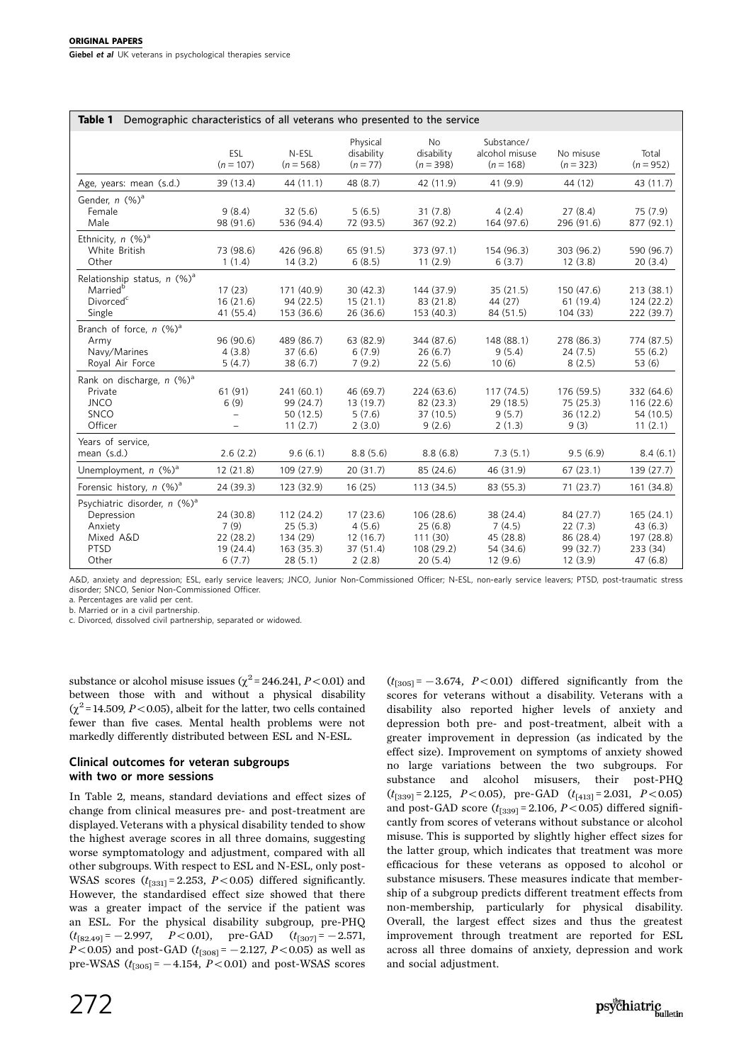| Demographic characteristics of all veterans who presented to the service<br>Table 1                  |                                                      |                                                          |                                                       |                                                           |                                                          |                                                           |                                                           |
|------------------------------------------------------------------------------------------------------|------------------------------------------------------|----------------------------------------------------------|-------------------------------------------------------|-----------------------------------------------------------|----------------------------------------------------------|-----------------------------------------------------------|-----------------------------------------------------------|
|                                                                                                      | ESL<br>$(n = 107)$                                   | N-ESL<br>$(n = 568)$                                     | Physical<br>disability<br>$(n = 77)$                  | <b>No</b><br>disability<br>$(n = 398)$                    | Substance/<br>alcohol misuse<br>$(n = 168)$              | No misuse<br>$(n = 323)$                                  | Total<br>$(n = 952)$                                      |
| Age, years: mean (s.d.)                                                                              | 39 (13.4)                                            | 44 (11.1)                                                | 48 (8.7)                                              | 42 (11.9)                                                 | 41 (9.9)                                                 | 44 (12)                                                   | 43 (11.7)                                                 |
| Gender, n (%) <sup>a</sup><br>Female<br>Male                                                         | 9(8.4)<br>98 (91.6)                                  | 32(5.6)<br>536 (94.4)                                    | 5(6.5)<br>72 (93.5)                                   | 31(7.8)<br>367 (92.2)                                     | 4(2.4)<br>164 (97.6)                                     | 27(8.4)<br>296 (91.6)                                     | 75 (7.9)<br>877 (92.1)                                    |
| Ethnicity, $n$ (%) <sup>a</sup><br>White British<br>Other                                            | 73 (98.6)<br>1(1.4)                                  | 426 (96.8)<br>14(3.2)                                    | 65 (91.5)<br>6(8.5)                                   | 373 (97.1)<br>11(2.9)                                     | 154 (96.3)<br>6(3.7)                                     | 303 (96.2)<br>12(3.8)                                     | 590 (96.7)<br>20(3.4)                                     |
| Relationship status, $n$ (%) <sup>a</sup><br>Married <sup>b</sup><br>Divorced <sup>c</sup><br>Single | 17(23)<br>16(21.6)<br>41 (55.4)                      | 171 (40.9)<br>94 (22.5)<br>153 (36.6)                    | 30(42.3)<br>15(21.1)<br>26(36.6)                      | 144 (37.9)<br>83 (21.8)<br>153 (40.3)                     | 35(21.5)<br>44 (27)<br>84 (51.5)                         | 150 (47.6)<br>61(19.4)<br>104(33)                         | 213(38.1)<br>124(22.2)<br>222 (39.7)                      |
| Branch of force, $n$ (%) <sup>a</sup><br>Army<br>Navy/Marines<br>Royal Air Force                     | 96 (90.6)<br>4(3.8)<br>5(4.7)                        | 489 (86.7)<br>37(6.6)<br>38 (6.7)                        | 63 (82.9)<br>6(7.9)<br>7(9.2)                         | 344 (87.6)<br>26(6.7)<br>22(5.6)                          | 148 (88.1)<br>9(5.4)<br>10(6)                            | 278 (86.3)<br>24(7.5)<br>8(2.5)                           | 774 (87.5)<br>55(6.2)<br>53(6)                            |
| Rank on discharge, $n$ (%) <sup>a</sup><br>Private<br><b>JNCO</b><br><b>SNCO</b><br>Officer          | 61(91)<br>6(9)<br>$\overline{\phantom{0}}$           | 241 (60.1)<br>99 (24.7)<br>50 (12.5)<br>11(2.7)          | 46 (69.7)<br>13(19.7)<br>5(7.6)<br>2(3.0)             | 224 (63.6)<br>82 (23.3)<br>37 (10.5)<br>9(2.6)            | 117(74.5)<br>29(18.5)<br>9(5.7)<br>2(1.3)                | 176 (59.5)<br>75 (25.3)<br>36 (12.2)<br>9(3)              | 332 (64.6)<br>116(22.6)<br>54 (10.5)<br>11(2.1)           |
| Years of service,<br>mean (s.d.)                                                                     | 2.6(2.2)                                             | 9.6(6.1)                                                 | 8.8(5.6)                                              | 8.8(6.8)                                                  | 7.3(5.1)                                                 | 9.5(6.9)                                                  | 8.4(6.1)                                                  |
| Unemployment, $n$ (%) <sup>a</sup>                                                                   | 12 (21.8)                                            | 109 (27.9)                                               | 20(31.7)                                              | 85 (24.6)                                                 | 46 (31.9)                                                | 67(23.1)                                                  | 139(27.7)                                                 |
| Forensic history, $n$ (%) <sup>a</sup>                                                               | 24(39.3)                                             | 123 (32.9)                                               | 16(25)                                                | 113(34.5)                                                 | 83 (55.3)                                                | 71(23.7)                                                  | 161 (34.8)                                                |
| Psychiatric disorder, n (%) <sup>a</sup><br>Depression<br>Anxiety<br>Mixed A&D<br>PTSD<br>Other      | 24 (30.8)<br>7(9)<br>22(28.2)<br>19 (24.4)<br>6(7.7) | 112(24.2)<br>25(5.3)<br>134 (29)<br>163(35.3)<br>28(5.1) | 17(23.6)<br>4(5.6)<br>12(16.7)<br>37 (51.4)<br>2(2.8) | 106(28.6)<br>25(6.8)<br>111 (30)<br>108 (29.2)<br>20(5.4) | 38 (24.4)<br>7(4.5)<br>45 (28.8)<br>54 (34.6)<br>12(9.6) | 84 (27.7)<br>22(7.3)<br>86 (28.4)<br>99 (32.7)<br>12(3.9) | 165(24.1)<br>43(6.3)<br>197 (28.8)<br>233 (34)<br>47(6.8) |

A&D, anxiety and depression; ESL, early service leavers; JNCO, Junior Non-Commissioned Officer; N-ESL, non-early service leavers; PTSD, post-traumatic stress disorder; SNCO, Senior Non-Commissioned Officer.

a. Percentages are valid per cent. b. Married or in a civil partnership.

c. Divorced, dissolved civil partnership, separated or widowed.

substance or alcohol misuse issues ( $\chi^2$  = 246.241, P < 0.01) and between those with and without a physical disability  $(\chi^2$  = 14.509, P < 0.05), albeit for the latter, two cells contained fewer than five cases. Mental health problems were not markedly differently distributed between ESL and N-ESL.

## Clinical outcomes for veteran subgroups with two or more sessions

In Table 2, means, standard deviations and effect sizes of change from clinical measures pre- and post-treatment are displayed. Veterans with a physical disability tended to show the highest average scores in all three domains, suggesting worse symptomatology and adjustment, compared with all other subgroups. With respect to ESL and N-ESL, only post-WSAS scores  $(t_{[331]}=2.253, P<0.05)$  differed significantly. However, the standardised effect size showed that there was a greater impact of the service if the patient was an ESL. For the physical disability subgroup, pre-PHQ  $(t_{[82.49]} = -2.997, P<0.01),$  pre-GAD  $(t_{[307]} = -2.571,$  $P<0.05$ ) and post-GAD ( $t_{[308]}$  = -2.127,  $P<0.05$ ) as well as pre-WSAS  $(t_{[305]} = -4.154, P < 0.01)$  and post-WSAS scores  $(t_{[305]} = -3.674, P<0.01)$  differed significantly from the scores for veterans without a disability. Veterans with a disability also reported higher levels of anxiety and depression both pre- and post-treatment, albeit with a greater improvement in depression (as indicated by the effect size). Improvement on symptoms of anxiety showed no large variations between the two subgroups. For substance and alcohol misusers, their post-PHQ  $(t_{[339]} = 2.125, P < 0.05)$ , pre-GAD  $(t_{[413]} = 2.031, P < 0.05)$ and post-GAD score  $(t_{[339]} = 2.106, P < 0.05)$  differed significantly from scores of veterans without substance or alcohol misuse. This is supported by slightly higher effect sizes for the latter group, which indicates that treatment was more efficacious for these veterans as opposed to alcohol or substance misusers. These measures indicate that membership of a subgroup predicts different treatment effects from non-membership, particularly for physical disability. Overall, the largest effect sizes and thus the greatest improvement through treatment are reported for ESL across all three domains of anxiety, depression and work and social adjustment.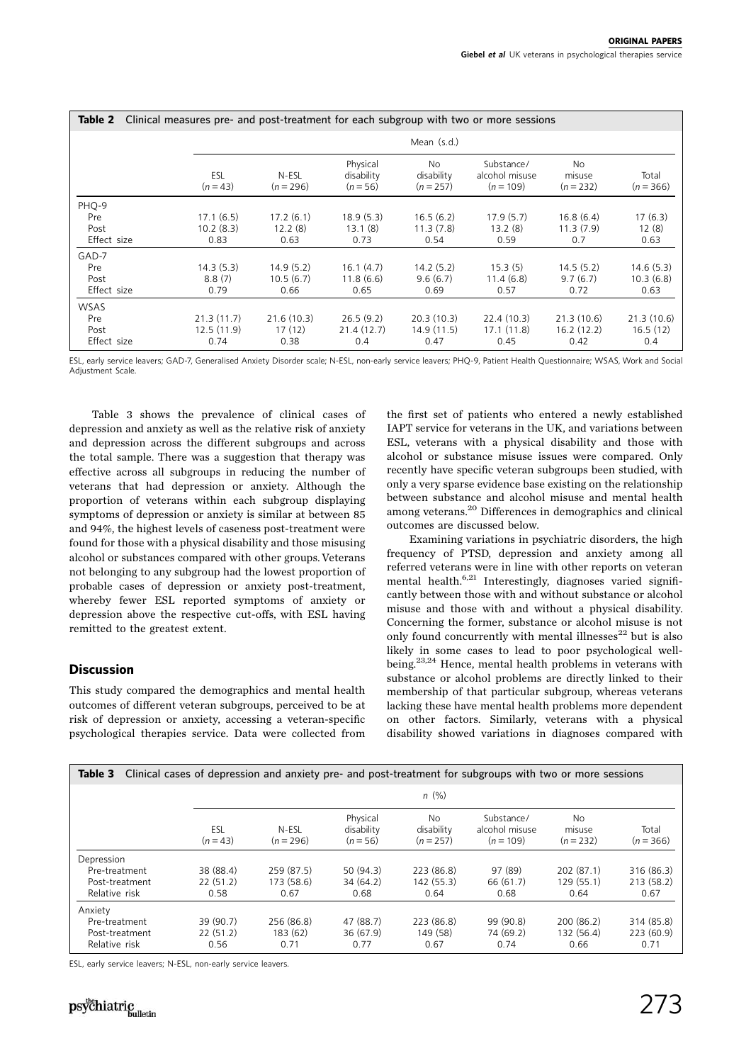| Clinical measures pre- and post-treatment for each subgroup with two or more sessions<br>Table 2 |                 |                      |                                      |                                  |                                             |                             |                      |
|--------------------------------------------------------------------------------------------------|-----------------|----------------------|--------------------------------------|----------------------------------|---------------------------------------------|-----------------------------|----------------------|
|                                                                                                  | Mean $(s.d.)$   |                      |                                      |                                  |                                             |                             |                      |
|                                                                                                  | ESL<br>$(n=43)$ | N-ESL<br>$(n = 296)$ | Physical<br>disability<br>$(n = 56)$ | No.<br>disability<br>$(n = 257)$ | Substance/<br>alcohol misuse<br>$(n = 109)$ | No<br>misuse<br>$(n = 232)$ | Total<br>$(n = 366)$ |
| PHQ-9                                                                                            |                 |                      |                                      |                                  |                                             |                             |                      |
| Pre                                                                                              | 17.1(6.5)       | 17.2(6.1)            | 18.9(5.3)                            | 16.5(6.2)                        | 17.9(5.7)                                   | 16.8(6.4)                   | 17(6.3)              |
| Post                                                                                             | 10.2(8.3)       | 12.2(8)              | 13.1(8)                              | 11.3(7.8)                        | 13.2(8)                                     | 11.3(7.9)                   | 12(8)                |
| Effect size                                                                                      | 0.83            | 0.63                 | 0.73                                 | 0.54                             | 0.59                                        | 0.7                         | 0.63                 |
| GAD-7                                                                                            |                 |                      |                                      |                                  |                                             |                             |                      |
| Pre                                                                                              | 14.3(5.3)       | 14.9(5.2)            | 16.1(4.7)                            | 14.2(5.2)                        | 15.3(5)                                     | 14.5(5.2)                   | 14.6(5.3)            |
| Post                                                                                             | 8.8(7)          | 10.5(6.7)            | 11.8(6.6)                            | 9.6(6.7)                         | 11.4(6.8)                                   | 9.7(6.7)                    | 10.3(6.8)            |
| Effect size                                                                                      | 0.79            | 0.66                 | 0.65                                 | 0.69                             | 0.57                                        | 0.72                        | 0.63                 |
| <b>WSAS</b>                                                                                      |                 |                      |                                      |                                  |                                             |                             |                      |
| Pre                                                                                              | 21.3(11.7)      | 21.6(10.3)           | 26.5(9.2)                            | 20.3(10.3)                       | 22.4(10.3)                                  | 21.3(10.6)                  | 21.3(10.6)           |
| Post                                                                                             | 12.5(11.9)      | 17(12)               | 21.4(12.7)                           | 14.9(11.5)                       | 17.1(11.8)                                  | 16.2(12.2)                  | 16.5(12)             |
| Effect size                                                                                      | 0.74            | 0.38                 | 0.4                                  | 0.47                             | 0.45                                        | 0.42                        | 0.4                  |

ESL, early service leavers; GAD-7, Generalised Anxiety Disorder scale; N-ESL, non-early service leavers; PHQ-9, Patient Health Questionnaire; WSAS, Work and Social Adjustment Scale.

Table 3 shows the prevalence of clinical cases of depression and anxiety as well as the relative risk of anxiety and depression across the different subgroups and across the total sample. There was a suggestion that therapy was effective across all subgroups in reducing the number of veterans that had depression or anxiety. Although the proportion of veterans within each subgroup displaying symptoms of depression or anxiety is similar at between 85 and 94%, the highest levels of caseness post-treatment were found for those with a physical disability and those misusing alcohol or substances compared with other groups. Veterans not belonging to any subgroup had the lowest proportion of probable cases of depression or anxiety post-treatment, whereby fewer ESL reported symptoms of anxiety or depression above the respective cut-offs, with ESL having remitted to the greatest extent.

## **Discussion**

This study compared the demographics and mental health outcomes of different veteran subgroups, perceived to be at risk of depression or anxiety, accessing a veteran-specific psychological therapies service. Data were collected from the first set of patients who entered a newly established IAPT service for veterans in the UK, and variations between ESL, veterans with a physical disability and those with alcohol or substance misuse issues were compared. Only recently have specific veteran subgroups been studied, with only a very sparse evidence base existing on the relationship between substance and alcohol misuse and mental health among veterans.20 Differences in demographics and clinical outcomes are discussed below.

Examining variations in psychiatric disorders, the high frequency of PTSD, depression and anxiety among all referred veterans were in line with other reports on veteran mental health.<sup>6,21</sup> Interestingly, diagnoses varied significantly between those with and without substance or alcohol misuse and those with and without a physical disability. Concerning the former, substance or alcohol misuse is not only found concurrently with mental illnesses $^{\rm 22}$  but is also likely in some cases to lead to poor psychological wellbeing.23,24 Hence, mental health problems in veterans with substance or alcohol problems are directly linked to their membership of that particular subgroup, whereas veterans lacking these have mental health problems more dependent on other factors. Similarly, veterans with a physical disability showed variations in diagnoses compared with

| Clinical cases of depression and anxiety pre- and post-treatment for subgroups with two or more sessions<br>Table 3 |                   |                      |                                      |                                  |                                             |                             |                      |  |
|---------------------------------------------------------------------------------------------------------------------|-------------------|----------------------|--------------------------------------|----------------------------------|---------------------------------------------|-----------------------------|----------------------|--|
|                                                                                                                     | $n$ (%)           |                      |                                      |                                  |                                             |                             |                      |  |
|                                                                                                                     | ESL<br>$(n = 43)$ | N-ESL<br>$(n = 296)$ | Physical<br>disability<br>$(n = 56)$ | No.<br>disability<br>$(n = 257)$ | Substance/<br>alcohol misuse<br>$(n = 109)$ | No<br>misuse<br>$(n = 232)$ | Total<br>$(n = 366)$ |  |
| Depression                                                                                                          |                   |                      |                                      |                                  |                                             |                             |                      |  |
| Pre-treatment                                                                                                       | 38 (88.4)         | 259 (87.5)           | 50 (94.3)                            | 223 (86.8)                       | 97 (89)                                     | 202(87.1)                   | 316 (86.3)           |  |
| Post-treatment                                                                                                      | 22(51.2)          | 173 (58.6)           | 34 (64.2)                            | 142(55.3)                        | 66 (61.7)                                   | 129(55.1)                   | 213 (58.2)           |  |
| Relative risk                                                                                                       | 0.58              | 0.67                 | 0.68                                 | 0.64                             | 0.68                                        | 0.64                        | 0.67                 |  |
| Anxiety                                                                                                             |                   |                      |                                      |                                  |                                             |                             |                      |  |
| Pre-treatment                                                                                                       | 39 (90.7)         | 256 (86.8)           | 47 (88.7)                            | 223 (86.8)                       | 99 (90.8)                                   | 200 (86.2)                  | 314 (85.8)           |  |
| Post-treatment                                                                                                      | 22(51.2)          | 183(62)              | 36 (67.9)                            | 149 (58)                         | 74 (69.2)                                   | 132 (56.4)                  | 223 (60.9)           |  |
| Relative risk                                                                                                       | 0.56              | 0.71                 | 0.77                                 | 0.67                             | 0.74                                        | 0.66                        | 0.71                 |  |

ESL, early service leavers; N-ESL, non-early service leavers.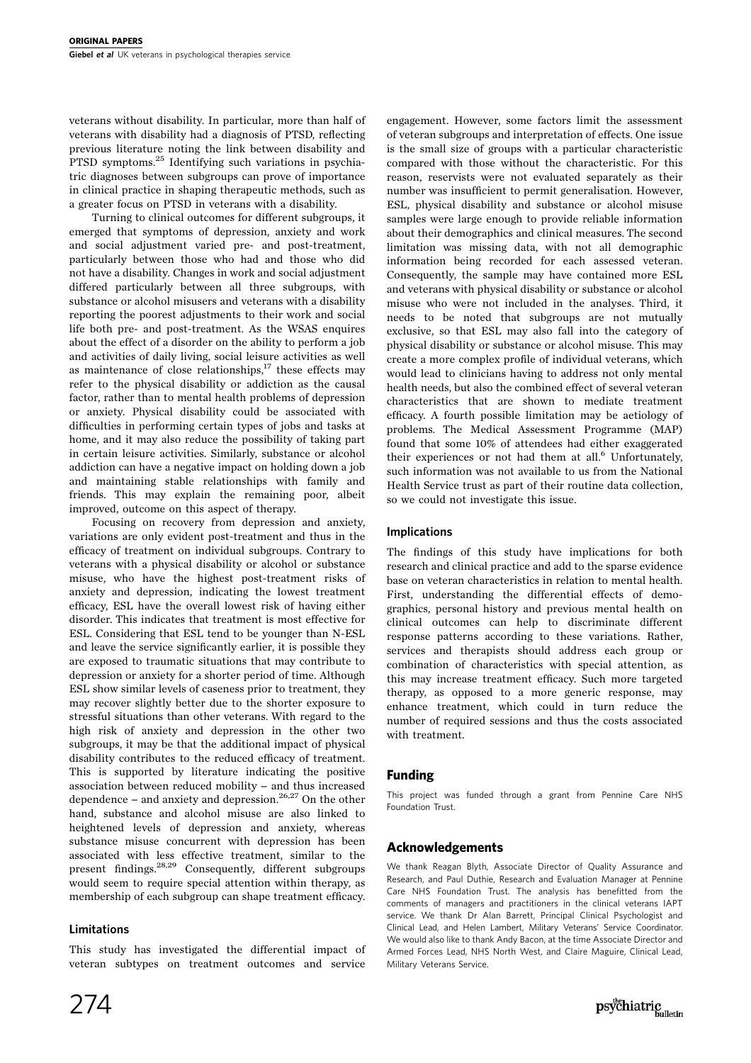veterans without disability. In particular, more than half of veterans with disability had a diagnosis of PTSD, reflecting previous literature noting the link between disability and PTSD symptoms.25 Identifying such variations in psychiatric diagnoses between subgroups can prove of importance in clinical practice in shaping therapeutic methods, such as a greater focus on PTSD in veterans with a disability.

Turning to clinical outcomes for different subgroups, it emerged that symptoms of depression, anxiety and work and social adjustment varied pre- and post-treatment, particularly between those who had and those who did not have a disability. Changes in work and social adjustment differed particularly between all three subgroups, with substance or alcohol misusers and veterans with a disability reporting the poorest adjustments to their work and social life both pre- and post-treatment. As the WSAS enquires about the effect of a disorder on the ability to perform a job and activities of daily living, social leisure activities as well as maintenance of close relationships, $17$  these effects may refer to the physical disability or addiction as the causal factor, rather than to mental health problems of depression or anxiety. Physical disability could be associated with difficulties in performing certain types of jobs and tasks at home, and it may also reduce the possibility of taking part in certain leisure activities. Similarly, substance or alcohol addiction can have a negative impact on holding down a job and maintaining stable relationships with family and friends. This may explain the remaining poor, albeit improved, outcome on this aspect of therapy.

Focusing on recovery from depression and anxiety, variations are only evident post-treatment and thus in the efficacy of treatment on individual subgroups. Contrary to veterans with a physical disability or alcohol or substance misuse, who have the highest post-treatment risks of anxiety and depression, indicating the lowest treatment efficacy, ESL have the overall lowest risk of having either disorder. This indicates that treatment is most effective for ESL. Considering that ESL tend to be younger than N-ESL and leave the service significantly earlier, it is possible they are exposed to traumatic situations that may contribute to depression or anxiety for a shorter period of time. Although ESL show similar levels of caseness prior to treatment, they may recover slightly better due to the shorter exposure to stressful situations than other veterans. With regard to the high risk of anxiety and depression in the other two subgroups, it may be that the additional impact of physical disability contributes to the reduced efficacy of treatment. This is supported by literature indicating the positive association between reduced mobility - and thus increased dependence – and anxiety and depression.<sup>26,27</sup> On the other hand, substance and alcohol misuse are also linked to heightened levels of depression and anxiety, whereas substance misuse concurrent with depression has been associated with less effective treatment, similar to the present findings.28,29 Consequently, different subgroups would seem to require special attention within therapy, as membership of each subgroup can shape treatment efficacy.

## Limitations

This study has investigated the differential impact of veteran subtypes on treatment outcomes and service

engagement. However, some factors limit the assessment of veteran subgroups and interpretation of effects. One issue is the small size of groups with a particular characteristic compared with those without the characteristic. For this reason, reservists were not evaluated separately as their number was insufficient to permit generalisation. However, ESL, physical disability and substance or alcohol misuse samples were large enough to provide reliable information about their demographics and clinical measures. The second limitation was missing data, with not all demographic information being recorded for each assessed veteran. Consequently, the sample may have contained more ESL and veterans with physical disability or substance or alcohol misuse who were not included in the analyses. Third, it needs to be noted that subgroups are not mutually exclusive, so that ESL may also fall into the category of physical disability or substance or alcohol misuse. This may create a more complex profile of individual veterans, which would lead to clinicians having to address not only mental health needs, but also the combined effect of several veteran characteristics that are shown to mediate treatment efficacy. A fourth possible limitation may be aetiology of problems. The Medical Assessment Programme (MAP) found that some 10% of attendees had either exaggerated their experiences or not had them at all. $<sup>6</sup>$  Unfortunately,</sup> such information was not available to us from the National Health Service trust as part of their routine data collection, so we could not investigate this issue.

#### Implications

The findings of this study have implications for both research and clinical practice and add to the sparse evidence base on veteran characteristics in relation to mental health. First, understanding the differential effects of demographics, personal history and previous mental health on clinical outcomes can help to discriminate different response patterns according to these variations. Rather, services and therapists should address each group or combination of characteristics with special attention, as this may increase treatment efficacy. Such more targeted therapy, as opposed to a more generic response, may enhance treatment, which could in turn reduce the number of required sessions and thus the costs associated with treatment.

## Funding

This project was funded through a grant from Pennine Care NHS Foundation Trust.

## Acknowledgements

We thank Reagan Blyth, Associate Director of Quality Assurance and Research, and Paul Duthie, Research and Evaluation Manager at Pennine Care NHS Foundation Trust. The analysis has benefitted from the comments of managers and practitioners in the clinical veterans IAPT service. We thank Dr Alan Barrett, Principal Clinical Psychologist and Clinical Lead, and Helen Lambert, Military Veterans' Service Coordinator. We would also like to thank Andy Bacon, at the time Associate Director and Armed Forces Lead, NHS North West, and Claire Maguire, Clinical Lead, Military Veterans Service.